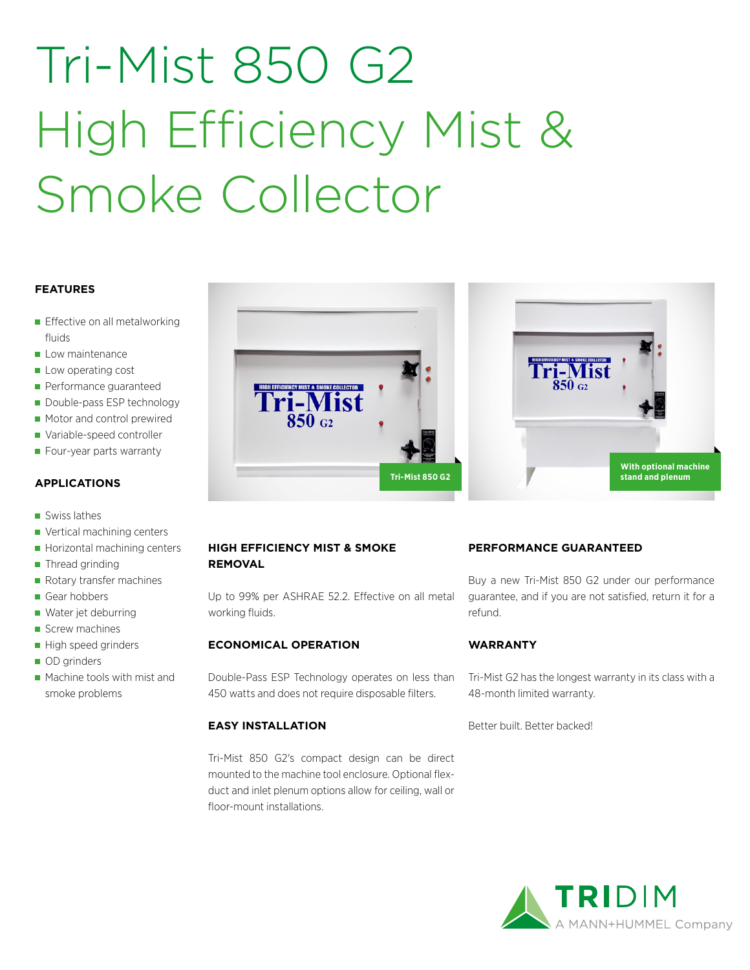# Tri-Mist 850 G2 High Efficiency Mist & Smoke Collector

#### **FEATURES**

- **Effective on all metalworking** fluids
- Low maintenance
- Low operating cost
- Performance guaranteed
- Double-pass ESP technology
- **Motor and control prewired**
- Variable-speed controller
- Four-year parts warranty

#### **APPLICATIONS**

- Swiss lathes
- Vertical machining centers
- Horizontal machining centers
- Thread grinding
- Rotary transfer machines
- Gear hobbers
- Water jet deburring
- Screw machines
- High speed grinders
- OD grinders
- **Machine tools with mist and** smoke problems





#### **HIGH EFFICIENCY MIST & SMOKE REMOVAL**

Up to 99% per ASHRAE 52.2. Effective on all metal working fluids.

#### **ECONOMICAL OPERATION**

Double-Pass ESP Technology operates on less than 450 watts and does not require disposable filters.

#### **EASY INSTALLATION**

Tri-Mist 850 G2's compact design can be direct mounted to the machine tool enclosure. Optional flexduct and inlet plenum options allow for ceiling, wall or floor-mount installations.

#### **PERFORMANCE GUARANTEED**

Buy a new Tri-Mist 850 G2 under our performance guarantee, and if you are not satisfied, return it for a refund.

#### **WARRANTY**

Tri-Mist G2 has the longest warranty in its class with a 48-month limited warranty.

Better built. Better backed!